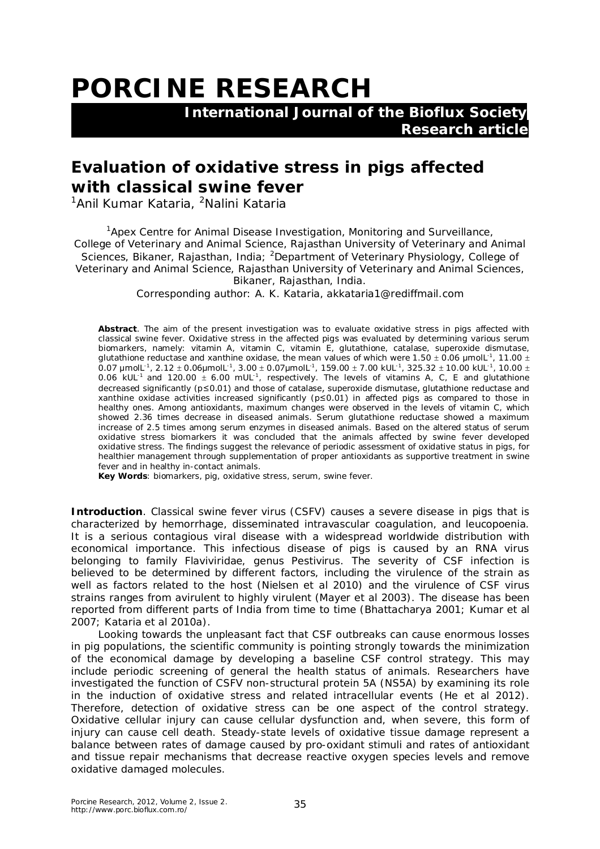## **PORCINE RESEARCH**

 **International Journal of the Bioflux Society Research article**

## **Evaluation of oxidative stress in pigs affected with classical swine fever**

<sup>1</sup>Anil Kumar Kataria, <sup>2</sup>Nalini Kataria

<sup>1</sup>Apex Centre for Animal Disease Investigation, Monitoring and Surveillance, College of Veterinary and Animal Science, Rajasthan University of Veterinary and Animal Sciences, Bikaner, Rajasthan, India; <sup>2</sup>Department of Veterinary Physiology, College of Veterinary and Animal Science, Rajasthan University of Veterinary and Animal Sciences, Bikaner, Rajasthan, India.

Corresponding author: A. K. Kataria, akkataria1@rediffmail.com

**Abstract**. The aim of the present investigation was to evaluate oxidative stress in pigs affected with classical swine fever. Oxidative stress in the affected pigs was evaluated by determining various serum biomarkers, namely: vitamin A, vitamin C, vitamin E, glutathione, catalase, superoxide dismutase, glutathione reductase and xanthine oxidase, the mean values of which were 1.50  $\pm$  0.06  $\mu$ molL $^{\text{-1}}$ , 11.00  $\pm$  $0.07$   $\mu$ molL $^1$ ,  $2.12\pm0.06$ μmolL $^1$ ,  $3.00\pm0.07$ μmolL $^1$ ,  $159.00\pm7.00$  kUL $^1$ ,  $325.32\pm10.00$  kUL $^1$ ,  $10.00\pm$ 0.06 kUL<sup>-1</sup> and 120.00  $\pm$  6.00 mUL<sup>-1</sup>, respectively. The levels of vitamins A, C, E and glutathione decreased significantly (*p*≤0.01) and those of catalase, superoxide dismutase, glutathione reductase and xanthine oxidase activities increased significantly (*p*≤0.01) in affected pigs as compared to those in healthy ones. Among antioxidants, maximum changes were observed in the levels of vitamin C, which showed 2.36 times decrease in diseased animals. Serum glutathione reductase showed a maximum increase of 2.5 times among serum enzymes in diseased animals. Based on the altered status of serum oxidative stress biomarkers it was concluded that the animals affected by swine fever developed oxidative stress. The findings suggest the relevance of periodic assessment of oxidative status in pigs, for healthier management through supplementation of proper antioxidants as supportive treatment in swine fever and in healthy in-contact animals.

**Key Words**: biomarkers, pig, oxidative stress, serum, swine fever.

**Introduction**. Classical swine fever virus (CSFV) causes a severe disease in pigs that is characterized by hemorrhage, disseminated intravascular coagulation, and leucopoenia. It is a serious contagious viral disease with a widespread worldwide distribution with economical importance. This infectious disease of pigs is caused by an RNA virus belonging to family Flaviviridae, genus *Pestivirus*. The severity of CSF infection is believed to be determined by different factors, including the virulence of the strain as well as factors related to the host (Nielsen et al 2010) and the virulence of CSF virus strains ranges from avirulent to highly virulent (Mayer et al 2003). The disease has been reported from different parts of India from time to time (Bhattacharya 2001; Kumar et al 2007; Kataria et al 2010a).

Looking towards the unpleasant fact that CSF outbreaks can cause enormous losses in pig populations, the scientific community is pointing strongly towards the minimization of the economical damage by developing a baseline CSF control strategy. This may include periodic screening of general the health status of animals. Researchers have investigated the function of CSFV non-structural protein 5A (NS5A) by examining its role in the induction of oxidative stress and related intracellular events (He et al 2012). Therefore, detection of oxidative stress can be one aspect of the control strategy. Oxidative cellular injury can cause cellular dysfunction and, when severe, this form of injury can cause cell death. Steady-state levels of oxidative tissue damage represent a balance between rates of damage caused by pro-oxidant stimuli and rates of antioxidant and tissue repair mechanisms that decrease reactive oxygen species levels and remove oxidative damaged molecules.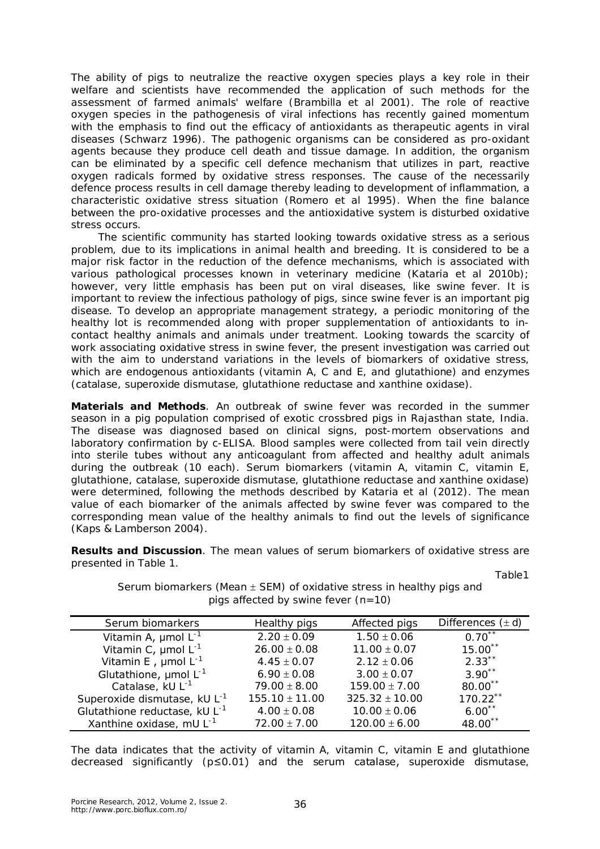The ability of pigs to neutralize the reactive oxygen species plays a key role in their welfare and scientists have recommended the application of such methods for the assessment of farmed animals' welfare (Brambilla et al 2001). The role of reactive oxygen species in the pathogenesis of viral infections has recently gained momentum with the emphasis to find out the efficacy of antioxidants as therapeutic agents in viral diseases (Schwarz 1996). The pathogenic organisms can be considered as pro-oxidant agents because they produce cell death and tissue damage. In addition, the organism can be eliminated by a specific cell defence mechanism that utilizes in part, reactive oxygen radicals formed by oxidative stress responses. The cause of the necessarily defence process results in cell damage thereby leading to development of inflammation, a characteristic oxidative stress situation (Romero et al 1995). When the fine balance between the pro-oxidative processes and the antioxidative system is disturbed oxidative stress occurs.

The scientific community has started looking towards oxidative stress as a serious problem, due to its implications in animal health and breeding. It is considered to be a major risk factor in the reduction of the defence mechanisms, which is associated with various pathological processes known in veterinary medicine (Kataria et al 2010b); however, very little emphasis has been put on viral diseases, like swine fever. It is important to review the infectious pathology of pigs, since swine fever is an important pig disease. To develop an appropriate management strategy, a periodic monitoring of the healthy lot is recommended along with proper supplementation of antioxidants to incontact healthy animals and animals under treatment. Looking towards the scarcity of work associating oxidative stress in swine fever, the present investigation was carried out with the aim to understand variations in the levels of biomarkers of oxidative stress, which are endogenous antioxidants (vitamin A, C and E, and glutathione) and enzymes (catalase, superoxide dismutase, glutathione reductase and xanthine oxidase).

**Materials and Methods**. An outbreak of swine fever was recorded in the summer season in a pig population comprised of exotic crossbred pigs in Rajasthan state, India. The disease was diagnosed based on clinical signs, post-mortem observations and laboratory confirmation by c-ELISA. Blood samples were collected from tail vein directly into sterile tubes without any anticoagulant from affected and healthy adult animals during the outbreak (10 each). Serum biomarkers (vitamin A, vitamin C, vitamin E, glutathione, catalase, superoxide dismutase, glutathione reductase and xanthine oxidase) were determined, following the methods described by Kataria et al (2012). The mean value of each biomarker of the animals affected by swine fever was compared to the corresponding mean value of the healthy animals to find out the levels of significance (Kaps & Lamberson 2004).

**Results and Discussion**. The mean values of serum biomarkers of oxidative stress are presented in Table 1.

> Serum biomarkers (Mean  $\pm$  SEM) of oxidative stress in healthy pigs and pigs affected by swine fever  $(n=10)$

Table1

| Serum biomarkers                          | Healthy pigs       | Affected pigs      | Differences $(\pm d)$ |
|-------------------------------------------|--------------------|--------------------|-----------------------|
| Vitamin A, $\mu$ mol L <sup>-1</sup>      | $2.20 \pm 0.09$    | $1.50 \pm 0.06$    | $0.70$ **             |
| Vitamin C, $\mu$ mol L <sup>-1</sup>      | $26.00 \pm 0.08$   | $11.00 \pm 0.07$   | $15.00$ **            |
| Vitamin E, $\mu$ mol L <sup>-1</sup>      | $4.45 \pm 0.07$    | $2.12 \pm 0.06$    | $2.33***$             |
| Glutathione, $\mu$ mol L <sup>-1</sup>    | $6.90 \pm 0.08$    | $3.00 \pm 0.07$    | $3.90**$              |
| Catalase, kU L <sup>-1</sup>              | $79.00 \pm 8.00$   | $159.00 \pm 7.00$  | 80.00**               |
| Superoxide dismutase, kU L <sup>-1</sup>  | $155.10 \pm 11.00$ | $325.32 \pm 10.00$ | $170.22$ **           |
| Glutathione reductase, kU L <sup>-1</sup> | $4.00 \pm 0.08$    | $10.00 \pm 0.06$   | $6.00^{**}$           |
| Xanthine oxidase, mU L <sup>-1</sup>      | $72.00 \pm 7.00$   | $120.00 \pm 6.00$  | 48.00 <sup>**</sup>   |

The data indicates that the activity of vitamin A, vitamin C, vitamin E and glutathione decreased significantly  $(p \le 0.01)$  and the serum catalase, superoxide dismutase,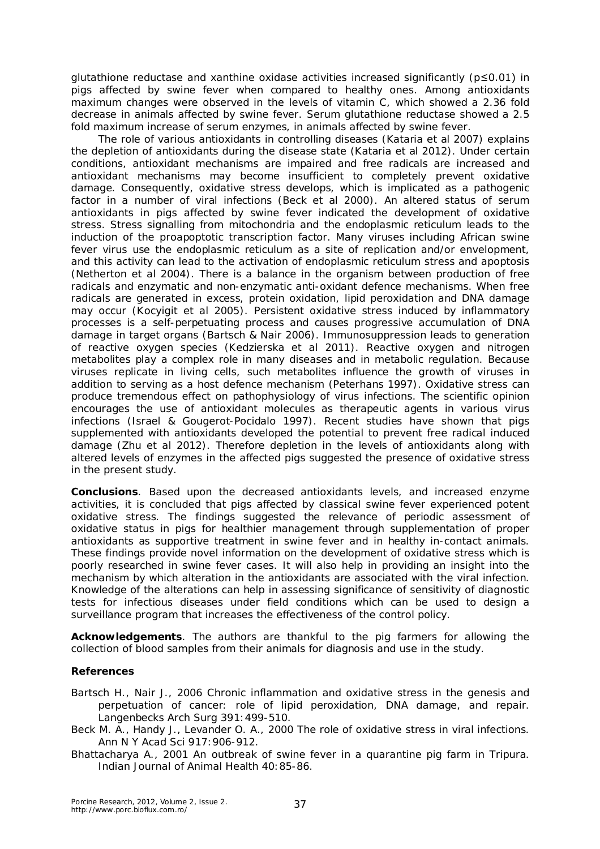glutathione reductase and xanthine oxidase activities increased significantly (*p*≤0.01) in pigs affected by swine fever when compared to healthy ones. Among antioxidants maximum changes were observed in the levels of vitamin C, which showed a 2.36 fold decrease in animals affected by swine fever. Serum glutathione reductase showed a 2.5 fold maximum increase of serum enzymes, in animals affected by swine fever.

The role of various antioxidants in controlling diseases (Kataria et al 2007) explains the depletion of antioxidants during the disease state (Kataria et al 2012). Under certain conditions, antioxidant mechanisms are impaired and free radicals are increased and antioxidant mechanisms may become insufficient to completely prevent oxidative damage. Consequently, oxidative stress develops, which is implicated as a pathogenic factor in a number of viral infections (Beck et al 2000). An altered status of serum antioxidants in pigs affected by swine fever indicated the development of oxidative stress. Stress signalling from mitochondria and the endoplasmic reticulum leads to the induction of the proapoptotic transcription factor. Many viruses including African swine fever virus use the endoplasmic reticulum as a site of replication and/or envelopment, and this activity can lead to the activation of endoplasmic reticulum stress and apoptosis (Netherton et al 2004). There is a balance in the organism between production of free radicals and enzymatic and non-enzymatic anti-oxidant defence mechanisms. When free radicals are generated in excess, protein oxidation, lipid peroxidation and DNA damage may occur (Kocyigit et al 2005). Persistent oxidative stress induced by inflammatory processes is a self-perpetuating process and causes progressive accumulation of DNA damage in target organs (Bartsch & Nair 2006). Immunosuppression leads to generation of reactive oxygen species (Kedzierska et al 2011). Reactive oxygen and nitrogen metabolites play a complex role in many diseases and in metabolic regulation. Because viruses replicate in living cells, such metabolites influence the growth of viruses in addition to serving as a host defence mechanism (Peterhans 1997). Oxidative stress can produce tremendous effect on pathophysiology of virus infections. The scientific opinion encourages the use of antioxidant molecules as therapeutic agents in various virus infections (Israel & Gougerot-Pocidalo 1997). Recent studies have shown that pigs supplemented with antioxidants developed the potential to prevent free radical induced damage (Zhu et al 2012). Therefore depletion in the levels of antioxidants along with altered levels of enzymes in the affected pigs suggested the presence of oxidative stress in the present study.

**Conclusions**. Based upon the decreased antioxidants levels, and increased enzyme activities, it is concluded that pigs affected by classical swine fever experienced potent oxidative stress. The findings suggested the relevance of periodic assessment of oxidative status in pigs for healthier management through supplementation of proper antioxidants as supportive treatment in swine fever and in healthy in-contact animals. These findings provide novel information on the development of oxidative stress which is poorly researched in swine fever cases. It will also help in providing an insight into the mechanism by which alteration in the antioxidants are associated with the viral infection. Knowledge of the alterations can help in assessing significance of sensitivity of diagnostic tests for infectious diseases under field conditions which can be used to design a surveillance program that increases the effectiveness of the control policy.

**Acknowledgements**. The authors are thankful to the pig farmers for allowing the collection of blood samples from their animals for diagnosis and use in the study.

## **References**

- Bartsch H., Nair J., 2006 Chronic inflammation and oxidative stress in the genesis and perpetuation of cancer: role of lipid peroxidation, DNA damage, and repair. Langenbecks Arch Surg 391:499-510.
- Beck M. A., Handy J., Levander O. A., 2000 The role of oxidative stress in viral infections. Ann N Y Acad Sci 917:906-912.
- Bhattacharya A., 2001 An outbreak of swine fever in a quarantine pig farm in Tripura. Indian Journal of Animal Health 40:85-86.